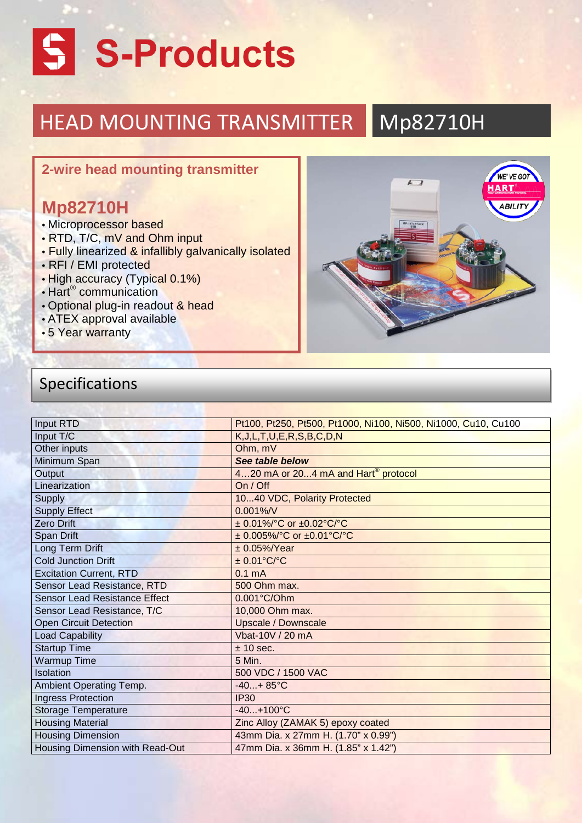# S -Products

#### HEAD MOUNTING TRANSMITTER Mp82710H

#### **2-wire head mounting transmitter**

## **Mp82710H**

- Microprocessor based
- RTD, T/C, mV and Ohm input
- Fully linearized & infallibly galvanically isolated
- RFI / EMI protected
- High accuracy (Typical 0.1%)
- Hart® communication
- Optional plug-in readout & head
- ATEX approval available
- 5 Year warranty



## Specifications

| Input RTD                            | Pt100, Pt250, Pt500, Pt1000, Ni100, Ni500, Ni1000, Cu10, Cu100 |
|--------------------------------------|----------------------------------------------------------------|
| Input T/C                            | K, J, L, T, U, E, R, S, B, C, D, N                             |
| Other inputs                         | Ohm, mV                                                        |
| Minimum Span                         | See table below                                                |
| Output                               | 420 mA or 204 mA and Hart <sup>®</sup> protocol                |
| Linearization                        | On / Off                                                       |
| Supply                               | 1040 VDC, Polarity Protected                                   |
| <b>Supply Effect</b>                 | $0.001\%$ /V                                                   |
| <b>Zero Drift</b>                    | $\pm$ 0.01%/°C or $\pm$ 0.02°C/°C                              |
| <b>Span Drift</b>                    | $\pm$ 0.005%/°C or $\pm$ 0.01°C/°C                             |
| Long Term Drift                      | $± 0.05\%/Year$                                                |
| <b>Cold Junction Drift</b>           | $± 0.01$ °C/°C                                                 |
| <b>Excitation Current, RTD</b>       | 0.1 <sub>m</sub> A                                             |
| Sensor Lead Resistance, RTD          | 500 Ohm max.                                                   |
| <b>Sensor Lead Resistance Effect</b> | 0.001°C/Ohm                                                    |
| Sensor Lead Resistance, T/C          | 10,000 Ohm max.                                                |
| <b>Open Circuit Detection</b>        | <b>Upscale / Downscale</b>                                     |
| <b>Load Capability</b>               | Vbat-10V / 20 mA                                               |
| <b>Startup Time</b>                  | ± 10 sec.                                                      |
| <b>Warmup Time</b>                   | 5 Min.                                                         |
| Isolation                            | 500 VDC / 1500 VAC                                             |
| Ambient Operating Temp.              | $-40+85$ °C                                                    |
| <b>Ingress Protection</b>            | <b>IP30</b>                                                    |
| <b>Storage Temperature</b>           | $-40+100°C$                                                    |
| <b>Housing Material</b>              | Zinc Alloy (ZAMAK 5) epoxy coated                              |
| <b>Housing Dimension</b>             | 43mm Dia. x 27mm H. (1.70" x 0.99")                            |
| Housing Dimension with Read-Out      | 47mm Dia. x 36mm H. (1.85" x 1.42")                            |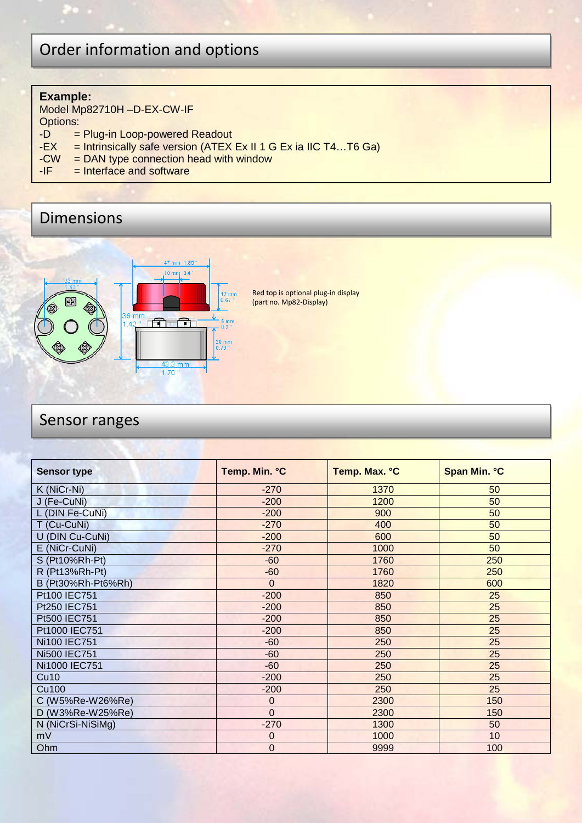## Order information and options

#### **Example:**

Model Mp82710H –D-EX-CW-IF Options:<br>-D  $=$ 

- $-D =$  Plug-in Loop-powered Readout<br>-EX = Intrinsically safe version (ATEX
- -EX = Intrinsically safe version (ATEX Ex II 1 G Ex ia IIC T4...T6 Ga)<br>-CW = DAN type connection head with window
- $-CW = DAN$  type connection head with window<br>-IF = Interface and software
- $=$  Interface and software

### Dimensions



Red top is optional plug-in display (part no. Mp82-Display)

#### Sensor ranges

| <b>Sensor type</b> | Temp. Min. °C | Temp. Max. °C | Span Min. °C |
|--------------------|---------------|---------------|--------------|
| K (NiCr-Ni)        | $-270$        | 1370          | 50           |
| J (Fe-CuNi)        | $-200$        | 1200          | 50           |
| L (DIN Fe-CuNi)    | $-200$        | 900           | 50           |
| T (Cu-CuNi)        | $-270$        | 400           | 50           |
| U (DIN Cu-CuNi)    | $-200$        | 600           | 50           |
| E (NiCr-CuNi)      | $-270$        | 1000          | 50           |
| S (Pt10%Rh-Pt)     | $-60$         | 1760          | 250          |
| R (Pt13%Rh-Pt)     | $-60$         | 1760          | 250          |
| B (Pt30%Rh-Pt6%Rh) | $\Omega$      | 1820          | 600          |
| Pt100 IEC751       | $-200$        | 850           | 25           |
| Pt250 IEC751       | $-200$        | 850           | 25           |
| Pt500 IEC751       | $-200$        | 850           | 25           |
| Pt1000 IEC751      | $-200$        | 850           | 25           |
| Ni100 IEC751       | $-60$         | 250           | 25           |
| Ni500 IEC751       | $-60$         | 250           | 25           |
| Ni1000 IEC751      | $-60$         | 250           | 25           |
| Cu10               | $-200$        | 250           | 25           |
| Cu <sub>100</sub>  | $-200$        | 250           | 25           |
| C (W5%Re-W26%Re)   | 0             | 2300          | 150          |
| D (W3%Re-W25%Re)   | $\Omega$      | 2300          | 150          |
| N (NiCrSi-NiSiMg)  | $-270$        | 1300          | 50           |
| mV                 | 0             | 1000          | 10           |
| Ohm                | $\mathbf 0$   | 9999          | 100          |